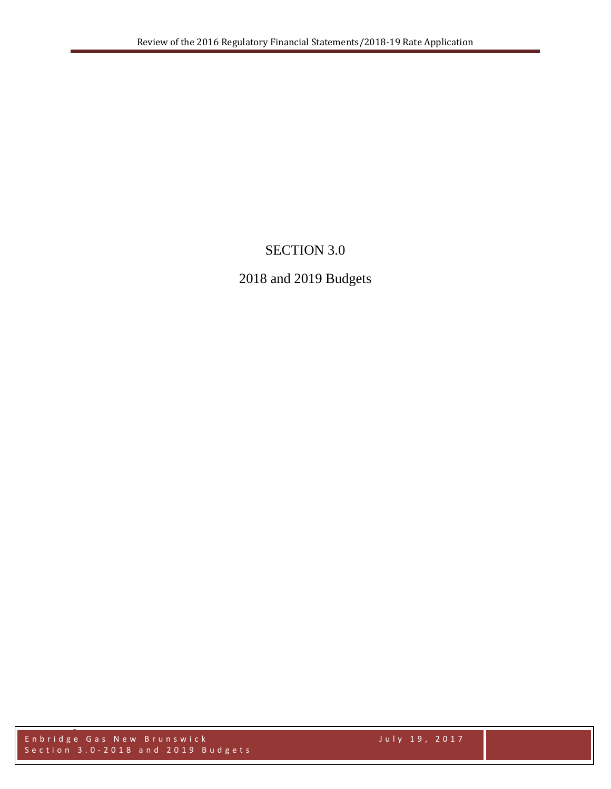# SECTION 3.0

# 2018 and 2019 Budgets

Enbridge Gas New Brunswick July 19, 2017 Section 3.0-2018 and 2019 Budgets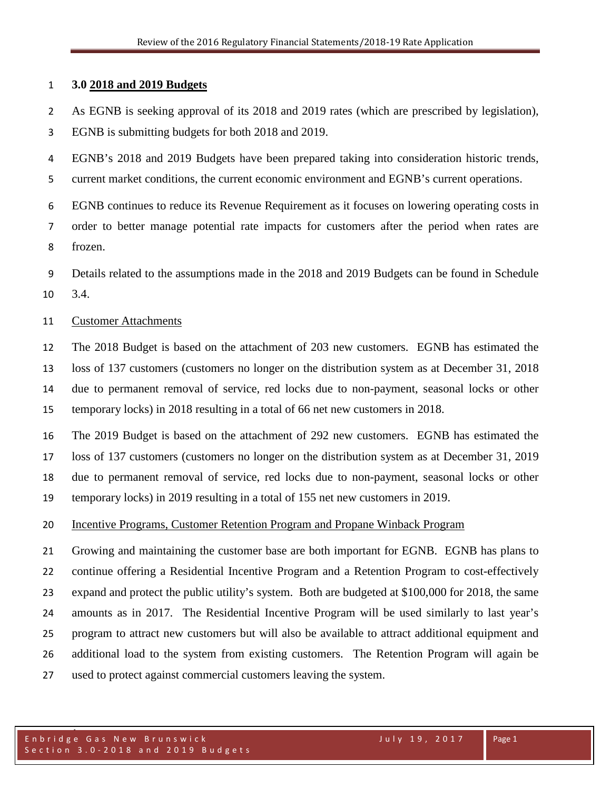### **3.0 2018 and 2019 Budgets**

 As EGNB is seeking approval of its 2018 and 2019 rates (which are prescribed by legislation), EGNB is submitting budgets for both 2018 and 2019.

 EGNB's 2018 and 2019 Budgets have been prepared taking into consideration historic trends, current market conditions, the current economic environment and EGNB's current operations.

 EGNB continues to reduce its Revenue Requirement as it focuses on lowering operating costs in order to better manage potential rate impacts for customers after the period when rates are frozen.

 Details related to the assumptions made in the 2018 and 2019 Budgets can be found in Schedule 3.4.

#### Customer Attachments

 The 2018 Budget is based on the attachment of 203 new customers. EGNB has estimated the loss of 137 customers (customers no longer on the distribution system as at December 31, 2018 due to permanent removal of service, red locks due to non-payment, seasonal locks or other temporary locks) in 2018 resulting in a total of 66 net new customers in 2018.

 The 2019 Budget is based on the attachment of 292 new customers. EGNB has estimated the loss of 137 customers (customers no longer on the distribution system as at December 31, 2019 due to permanent removal of service, red locks due to non-payment, seasonal locks or other temporary locks) in 2019 resulting in a total of 155 net new customers in 2019.

### Incentive Programs, Customer Retention Program and Propane Winback Program

 Growing and maintaining the customer base are both important for EGNB. EGNB has plans to continue offering a Residential Incentive Program and a Retention Program to cost-effectively expand and protect the public utility's system. Both are budgeted at \$100,000 for 2018, the same amounts as in 2017. The Residential Incentive Program will be used similarly to last year's program to attract new customers but will also be available to attract additional equipment and additional load to the system from existing customers. The Retention Program will again be used to protect against commercial customers leaving the system.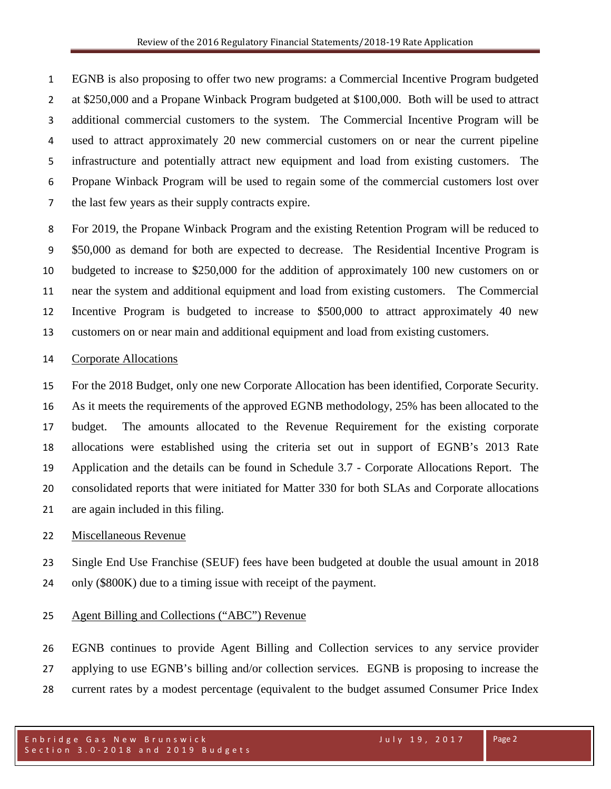EGNB is also proposing to offer two new programs: a Commercial Incentive Program budgeted at \$250,000 and a Propane Winback Program budgeted at \$100,000. Both will be used to attract additional commercial customers to the system. The Commercial Incentive Program will be used to attract approximately 20 new commercial customers on or near the current pipeline infrastructure and potentially attract new equipment and load from existing customers. The Propane Winback Program will be used to regain some of the commercial customers lost over the last few years as their supply contracts expire.

 For 2019, the Propane Winback Program and the existing Retention Program will be reduced to \$50,000 as demand for both are expected to decrease. The Residential Incentive Program is budgeted to increase to \$250,000 for the addition of approximately 100 new customers on or near the system and additional equipment and load from existing customers. The Commercial Incentive Program is budgeted to increase to \$500,000 to attract approximately 40 new customers on or near main and additional equipment and load from existing customers.

### Corporate Allocations

 For the 2018 Budget, only one new Corporate Allocation has been identified, Corporate Security. As it meets the requirements of the approved EGNB methodology, 25% has been allocated to the budget. The amounts allocated to the Revenue Requirement for the existing corporate allocations were established using the criteria set out in support of EGNB's 2013 Rate Application and the details can be found in Schedule 3.7 - Corporate Allocations Report. The consolidated reports that were initiated for Matter 330 for both SLAs and Corporate allocations are again included in this filing.

### Miscellaneous Revenue

 Single End Use Franchise (SEUF) fees have been budgeted at double the usual amount in 2018 only (\$800K) due to a timing issue with receipt of the payment.

## Agent Billing and Collections ("ABC") Revenue

 EGNB continues to provide Agent Billing and Collection services to any service provider applying to use EGNB's billing and/or collection services. EGNB is proposing to increase the current rates by a modest percentage (equivalent to the budget assumed Consumer Price Index